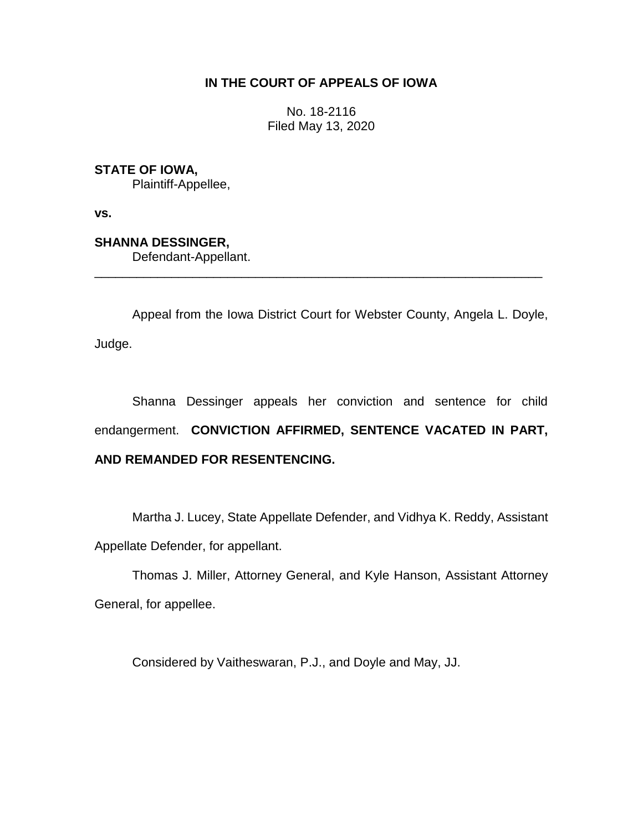# **IN THE COURT OF APPEALS OF IOWA**

No. 18-2116 Filed May 13, 2020

**STATE OF IOWA,**

Plaintiff-Appellee,

**vs.**

**SHANNA DESSINGER,**

Defendant-Appellant.

Appeal from the Iowa District Court for Webster County, Angela L. Doyle, Judge.

\_\_\_\_\_\_\_\_\_\_\_\_\_\_\_\_\_\_\_\_\_\_\_\_\_\_\_\_\_\_\_\_\_\_\_\_\_\_\_\_\_\_\_\_\_\_\_\_\_\_\_\_\_\_\_\_\_\_\_\_\_\_\_\_

Shanna Dessinger appeals her conviction and sentence for child endangerment. **CONVICTION AFFIRMED, SENTENCE VACATED IN PART, AND REMANDED FOR RESENTENCING.**

Martha J. Lucey, State Appellate Defender, and Vidhya K. Reddy, Assistant Appellate Defender, for appellant.

Thomas J. Miller, Attorney General, and Kyle Hanson, Assistant Attorney General, for appellee.

Considered by Vaitheswaran, P.J., and Doyle and May, JJ.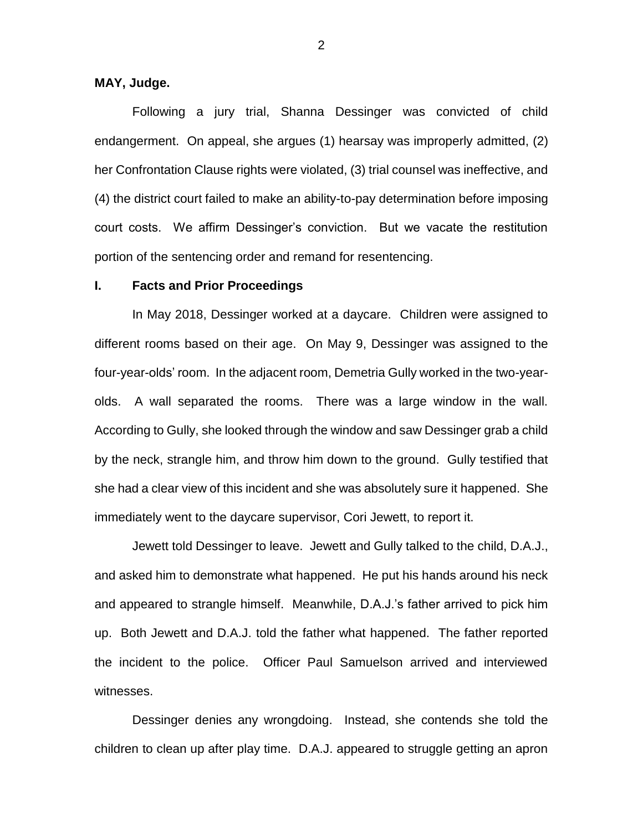## **MAY, Judge.**

Following a jury trial, Shanna Dessinger was convicted of child endangerment. On appeal, she argues (1) hearsay was improperly admitted, (2) her Confrontation Clause rights were violated, (3) trial counsel was ineffective, and (4) the district court failed to make an ability-to-pay determination before imposing court costs. We affirm Dessinger's conviction. But we vacate the restitution portion of the sentencing order and remand for resentencing.

#### **I. Facts and Prior Proceedings**

In May 2018, Dessinger worked at a daycare. Children were assigned to different rooms based on their age. On May 9, Dessinger was assigned to the four-year-olds' room. In the adjacent room, Demetria Gully worked in the two-yearolds. A wall separated the rooms. There was a large window in the wall. According to Gully, she looked through the window and saw Dessinger grab a child by the neck, strangle him, and throw him down to the ground. Gully testified that she had a clear view of this incident and she was absolutely sure it happened. She immediately went to the daycare supervisor, Cori Jewett, to report it.

Jewett told Dessinger to leave. Jewett and Gully talked to the child, D.A.J., and asked him to demonstrate what happened. He put his hands around his neck and appeared to strangle himself. Meanwhile, D.A.J.'s father arrived to pick him up. Both Jewett and D.A.J. told the father what happened. The father reported the incident to the police. Officer Paul Samuelson arrived and interviewed witnesses.

Dessinger denies any wrongdoing. Instead, she contends she told the children to clean up after play time. D.A.J. appeared to struggle getting an apron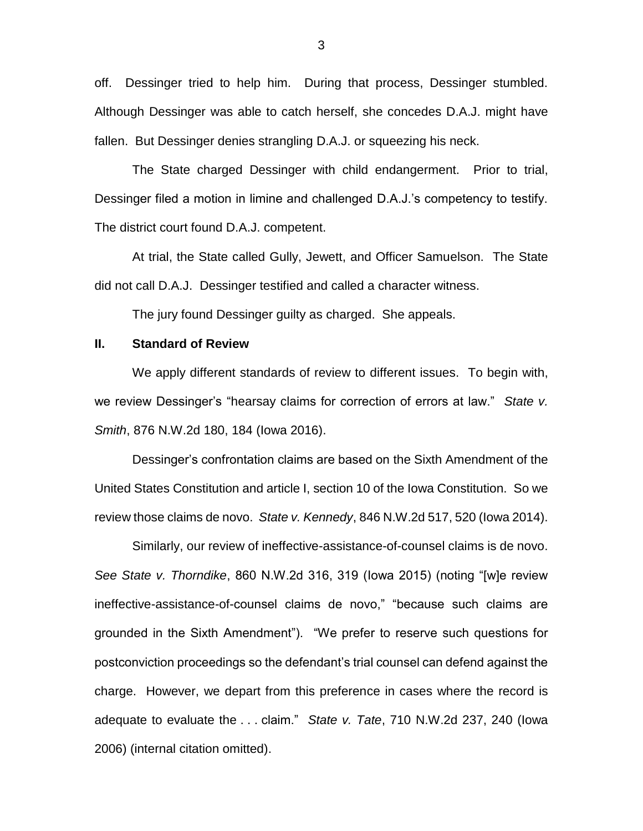off. Dessinger tried to help him. During that process, Dessinger stumbled. Although Dessinger was able to catch herself, she concedes D.A.J. might have fallen. But Dessinger denies strangling D.A.J. or squeezing his neck.

The State charged Dessinger with child endangerment. Prior to trial, Dessinger filed a motion in limine and challenged D.A.J.'s competency to testify. The district court found D.A.J. competent.

At trial, the State called Gully, Jewett, and Officer Samuelson. The State did not call D.A.J. Dessinger testified and called a character witness.

The jury found Dessinger guilty as charged. She appeals.

## **II. Standard of Review**

We apply different standards of review to different issues. To begin with, we review Dessinger's "hearsay claims for correction of errors at law." *State v. Smith*, 876 N.W.2d 180, 184 (Iowa 2016).

Dessinger's confrontation claims are based on the Sixth Amendment of the United States Constitution and article I, section 10 of the Iowa Constitution. So we review those claims de novo. *State v. Kennedy*, 846 N.W.2d 517, 520 (Iowa 2014).

Similarly, our review of ineffective-assistance-of-counsel claims is de novo. *See State v. Thorndike*, 860 N.W.2d 316, 319 (Iowa 2015) (noting "[w]e review ineffective-assistance-of-counsel claims de novo," "because such claims are grounded in the Sixth Amendment"). "We prefer to reserve such questions for postconviction proceedings so the defendant's trial counsel can defend against the charge. However, we depart from this preference in cases where the record is adequate to evaluate the . . . claim." *State v. Tate*, 710 N.W.2d 237, 240 (Iowa 2006) (internal citation omitted).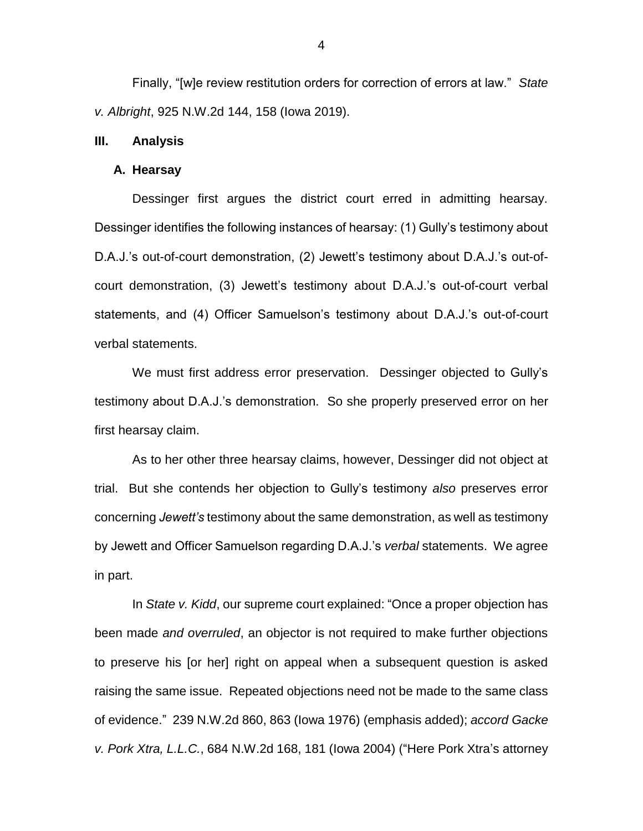Finally, "[w]e review restitution orders for correction of errors at law." *State v. Albright*, 925 N.W.2d 144, 158 (Iowa 2019).

#### **III. Analysis**

#### **A. Hearsay**

Dessinger first argues the district court erred in admitting hearsay. Dessinger identifies the following instances of hearsay: (1) Gully's testimony about D.A.J.'s out-of-court demonstration, (2) Jewett's testimony about D.A.J.'s out-ofcourt demonstration, (3) Jewett's testimony about D.A.J.'s out-of-court verbal statements, and (4) Officer Samuelson's testimony about D.A.J.'s out-of-court verbal statements.

We must first address error preservation. Dessinger objected to Gully's testimony about D.A.J.'s demonstration. So she properly preserved error on her first hearsay claim.

As to her other three hearsay claims, however, Dessinger did not object at trial. But she contends her objection to Gully's testimony *also* preserves error concerning *Jewett's* testimony about the same demonstration, as well as testimony by Jewett and Officer Samuelson regarding D.A.J.'s *verbal* statements. We agree in part.

In *State v. Kidd*, our supreme court explained: "Once a proper objection has been made *and overruled*, an objector is not required to make further objections to preserve his [or her] right on appeal when a subsequent question is asked raising the same issue. Repeated objections need not be made to the same class of evidence." 239 N.W.2d 860, 863 (Iowa 1976) (emphasis added); *accord Gacke v. Pork Xtra, L.L.C.*, 684 N.W.2d 168, 181 (Iowa 2004) ("Here Pork Xtra's attorney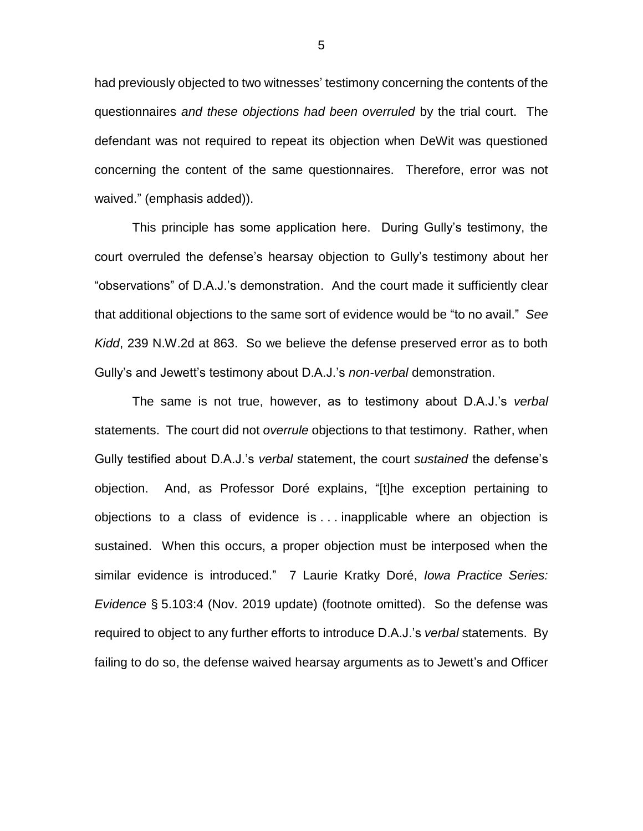had previously objected to two witnesses' testimony concerning the contents of the questionnaires *and these objections had been overruled* by the trial court. The defendant was not required to repeat its objection when DeWit was questioned concerning the content of the same questionnaires. Therefore, error was not waived." (emphasis added)).

This principle has some application here. During Gully's testimony, the court overruled the defense's hearsay objection to Gully's testimony about her "observations" of D.A.J.'s demonstration. And the court made it sufficiently clear that additional objections to the same sort of evidence would be "to no avail." *See Kidd*, 239 N.W.2d at 863. So we believe the defense preserved error as to both Gully's and Jewett's testimony about D.A.J.'s *non-verbal* demonstration.

The same is not true, however, as to testimony about D.A.J.'s *verbal* statements. The court did not *overrule* objections to that testimony. Rather, when Gully testified about D.A.J.'s *verbal* statement, the court *sustained* the defense's objection. And, as Professor Doré explains, "[t]he exception pertaining to objections to a class of evidence is . . . inapplicable where an objection is sustained. When this occurs, a proper objection must be interposed when the similar evidence is introduced." 7 Laurie Kratky Doré, *Iowa Practice Series: Evidence* § 5.103:4 (Nov. 2019 update) (footnote omitted). So the defense was required to object to any further efforts to introduce D.A.J.'s *verbal* statements. By failing to do so, the defense waived hearsay arguments as to Jewett's and Officer

5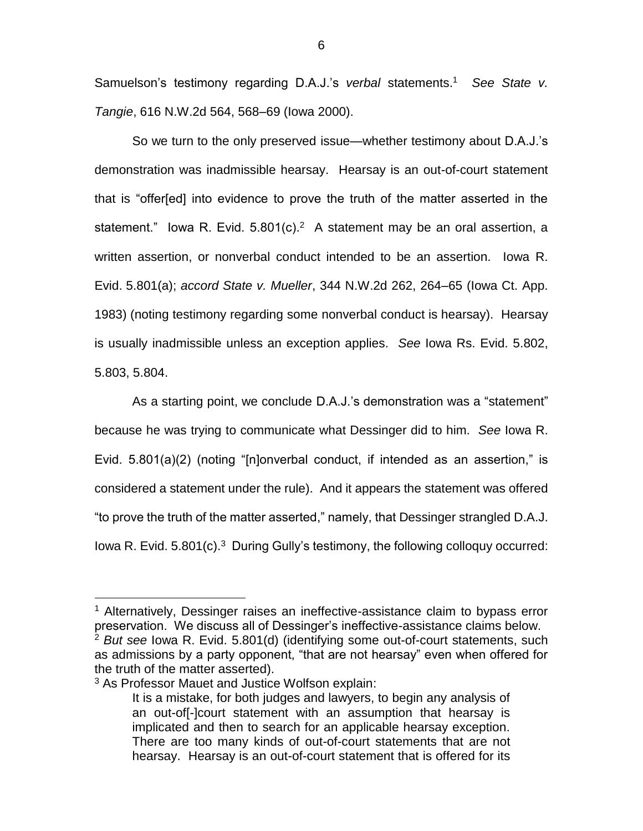Samuelson's testimony regarding D.A.J.'s *verbal* statements. <sup>1</sup> *See State v. Tangie*, 616 N.W.2d 564, 568–69 (Iowa 2000).

So we turn to the only preserved issue—whether testimony about D.A.J.'s demonstration was inadmissible hearsay. Hearsay is an out-of-court statement that is "offer[ed] into evidence to prove the truth of the matter asserted in the statement." lowa R. Evid.  $5.801(c).<sup>2</sup>$  A statement may be an oral assertion, a written assertion, or nonverbal conduct intended to be an assertion. Iowa R. Evid. 5.801(a); *accord State v. Mueller*, 344 N.W.2d 262, 264–65 (Iowa Ct. App. 1983) (noting testimony regarding some nonverbal conduct is hearsay). Hearsay is usually inadmissible unless an exception applies. *See* Iowa Rs. Evid. 5.802, 5.803, 5.804.

As a starting point, we conclude D.A.J.'s demonstration was a "statement" because he was trying to communicate what Dessinger did to him. *See* Iowa R. Evid. 5.801(a)(2) (noting "[n]onverbal conduct, if intended as an assertion," is considered a statement under the rule). And it appears the statement was offered "to prove the truth of the matter asserted," namely, that Dessinger strangled D.A.J. lowa R. Evid. 5.801(c).<sup>3</sup> During Gully's testimony, the following colloquy occurred:

 $\overline{a}$ 

<sup>&</sup>lt;sup>1</sup> Alternatively, Dessinger raises an ineffective-assistance claim to bypass error preservation. We discuss all of Dessinger's ineffective-assistance claims below. <sup>2</sup> *But see* Iowa R. Evid. 5.801(d) (identifying some out-of-court statements, such as admissions by a party opponent, "that are not hearsay" even when offered for the truth of the matter asserted).

<sup>3</sup> As Professor Mauet and Justice Wolfson explain:

It is a mistake, for both judges and lawyers, to begin any analysis of an out-of[-]court statement with an assumption that hearsay is implicated and then to search for an applicable hearsay exception. There are too many kinds of out-of-court statements that are not hearsay. Hearsay is an out-of-court statement that is offered for its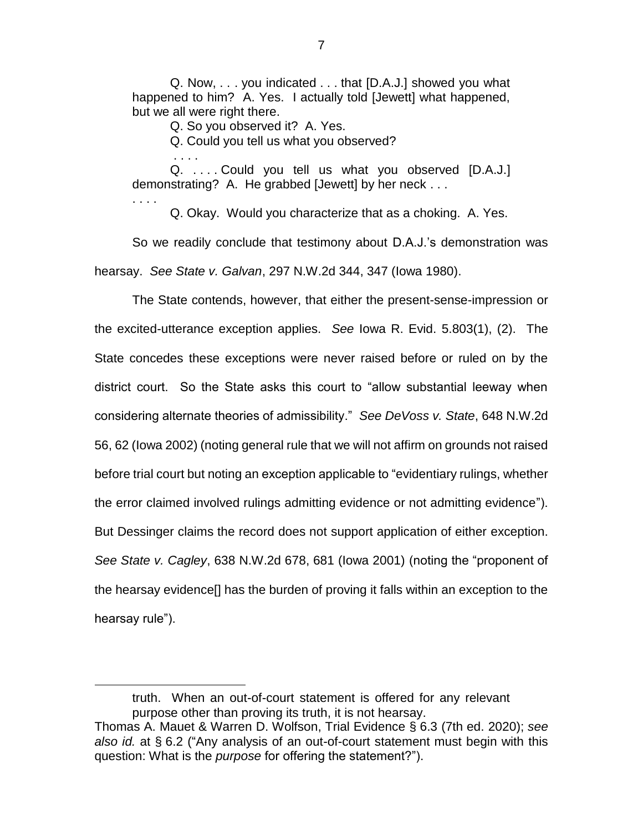Q. Now, . . . you indicated . . . that [D.A.J.] showed you what happened to him? A. Yes. I actually told [Jewett] what happened, but we all were right there.

Q. So you observed it? A. Yes.

. . . .

. . . .

 $\overline{a}$ 

Q. Could you tell us what you observed?

Q. . . . . Could you tell us what you observed [D.A.J.] demonstrating? A. He grabbed [Jewett] by her neck . . .

Q. Okay. Would you characterize that as a choking. A. Yes.

So we readily conclude that testimony about D.A.J.'s demonstration was hearsay. *See State v. Galvan*, 297 N.W.2d 344, 347 (Iowa 1980).

The State contends, however, that either the present-sense-impression or the excited-utterance exception applies. *See* Iowa R. Evid. 5.803(1), (2). The State concedes these exceptions were never raised before or ruled on by the district court. So the State asks this court to "allow substantial leeway when considering alternate theories of admissibility." *See DeVoss v. State*, 648 N.W.2d 56, 62 (Iowa 2002) (noting general rule that we will not affirm on grounds not raised before trial court but noting an exception applicable to "evidentiary rulings, whether the error claimed involved rulings admitting evidence or not admitting evidence"). But Dessinger claims the record does not support application of either exception. *See State v. Cagley*, 638 N.W.2d 678, 681 (Iowa 2001) (noting the "proponent of the hearsay evidence[] has the burden of proving it falls within an exception to the hearsay rule").

truth. When an out-of-court statement is offered for any relevant purpose other than proving its truth, it is not hearsay.

Thomas A. Mauet & Warren D. Wolfson, Trial Evidence § 6.3 (7th ed. 2020); *see also id.* at § 6.2 ("Any analysis of an out-of-court statement must begin with this question: What is the *purpose* for offering the statement?").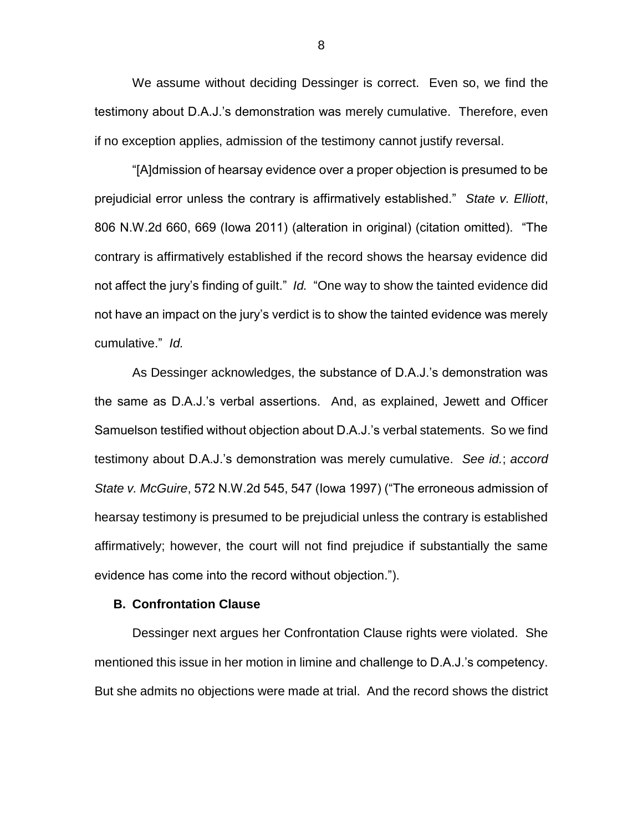We assume without deciding Dessinger is correct. Even so, we find the testimony about D.A.J.'s demonstration was merely cumulative. Therefore, even if no exception applies, admission of the testimony cannot justify reversal.

"[A]dmission of hearsay evidence over a proper objection is presumed to be prejudicial error unless the contrary is affirmatively established." *State v. Elliott*, 806 N.W.2d 660, 669 (Iowa 2011) (alteration in original) (citation omitted). "The contrary is affirmatively established if the record shows the hearsay evidence did not affect the jury's finding of guilt." *Id.* "One way to show the tainted evidence did not have an impact on the jury's verdict is to show the tainted evidence was merely cumulative." *Id.*

As Dessinger acknowledges, the substance of D.A.J.'s demonstration was the same as D.A.J.'s verbal assertions. And, as explained, Jewett and Officer Samuelson testified without objection about D.A.J.'s verbal statements. So we find testimony about D.A.J.'s demonstration was merely cumulative. *See id.*; *accord State v. McGuire*, 572 N.W.2d 545, 547 (Iowa 1997) ("The erroneous admission of hearsay testimony is presumed to be prejudicial unless the contrary is established affirmatively; however, the court will not find prejudice if substantially the same evidence has come into the record without objection.").

## **B. Confrontation Clause**

Dessinger next argues her Confrontation Clause rights were violated. She mentioned this issue in her motion in limine and challenge to D.A.J.'s competency. But she admits no objections were made at trial. And the record shows the district

8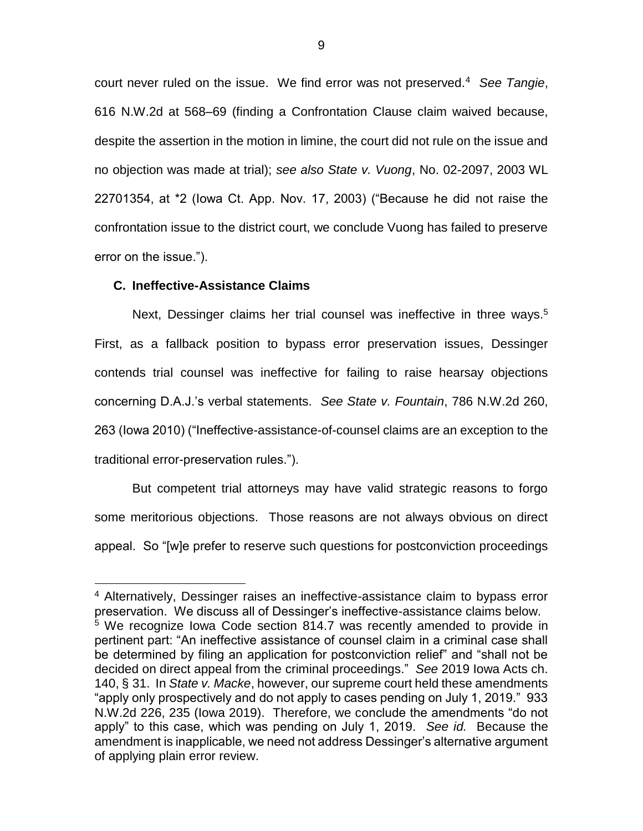court never ruled on the issue. We find error was not preserved.<sup>4</sup> *See Tangie*, 616 N.W.2d at 568–69 (finding a Confrontation Clause claim waived because, despite the assertion in the motion in limine, the court did not rule on the issue and no objection was made at trial); *see also State v. Vuong*, No. 02-2097, 2003 WL 22701354, at \*2 (Iowa Ct. App. Nov. 17, 2003) ("Because he did not raise the confrontation issue to the district court, we conclude Vuong has failed to preserve error on the issue.").

## **C. Ineffective-Assistance Claims**

 $\overline{a}$ 

Next, Dessinger claims her trial counsel was ineffective in three ways.<sup>5</sup> First, as a fallback position to bypass error preservation issues, Dessinger contends trial counsel was ineffective for failing to raise hearsay objections concerning D.A.J.'s verbal statements. *See State v. Fountain*, 786 N.W.2d 260, 263 (Iowa 2010) ("Ineffective-assistance-of-counsel claims are an exception to the traditional error-preservation rules.").

But competent trial attorneys may have valid strategic reasons to forgo some meritorious objections. Those reasons are not always obvious on direct appeal. So "[w]e prefer to reserve such questions for postconviction proceedings

<sup>4</sup> Alternatively, Dessinger raises an ineffective-assistance claim to bypass error preservation. We discuss all of Dessinger's ineffective-assistance claims below.  $5$  We recognize Iowa Code section 814.7 was recently amended to provide in pertinent part: "An ineffective assistance of counsel claim in a criminal case shall be determined by filing an application for postconviction relief" and "shall not be decided on direct appeal from the criminal proceedings." *See* 2019 Iowa Acts ch. 140, § 31. In *State v. Macke*, however, our supreme court held these amendments "apply only prospectively and do not apply to cases pending on July 1, 2019." 933 N.W.2d 226, 235 (Iowa 2019). Therefore, we conclude the amendments "do not apply" to this case, which was pending on July 1, 2019. *See id.* Because the amendment is inapplicable, we need not address Dessinger's alternative argument of applying plain error review.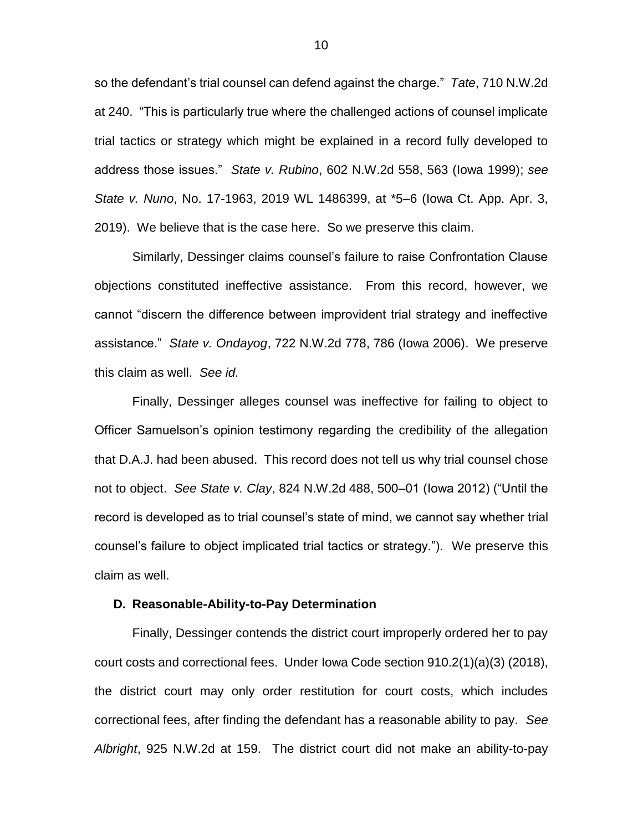so the defendant's trial counsel can defend against the charge." *Tate*, 710 N.W.2d at 240. "This is particularly true where the challenged actions of counsel implicate trial tactics or strategy which might be explained in a record fully developed to address those issues." *State v. Rubino*, 602 N.W.2d 558, 563 (Iowa 1999); *see State v. Nuno*, No. 17-1963, 2019 WL 1486399, at \*5–6 (Iowa Ct. App. Apr. 3, 2019). We believe that is the case here. So we preserve this claim.

Similarly, Dessinger claims counsel's failure to raise Confrontation Clause objections constituted ineffective assistance. From this record, however, we cannot "discern the difference between improvident trial strategy and ineffective assistance." *State v. Ondayog*, 722 N.W.2d 778, 786 (Iowa 2006). We preserve this claim as well. *See id.*

Finally, Dessinger alleges counsel was ineffective for failing to object to Officer Samuelson's opinion testimony regarding the credibility of the allegation that D.A.J. had been abused. This record does not tell us why trial counsel chose not to object. *See State v. Clay*, 824 N.W.2d 488, 500–01 (Iowa 2012) ("Until the record is developed as to trial counsel's state of mind, we cannot say whether trial counsel's failure to object implicated trial tactics or strategy."). We preserve this claim as well.

### **D. Reasonable-Ability-to-Pay Determination**

Finally, Dessinger contends the district court improperly ordered her to pay court costs and correctional fees. Under Iowa Code section 910.2(1)(a)(3) (2018), the district court may only order restitution for court costs, which includes correctional fees, after finding the defendant has a reasonable ability to pay. *See Albright*, 925 N.W.2d at 159. The district court did not make an ability-to-pay